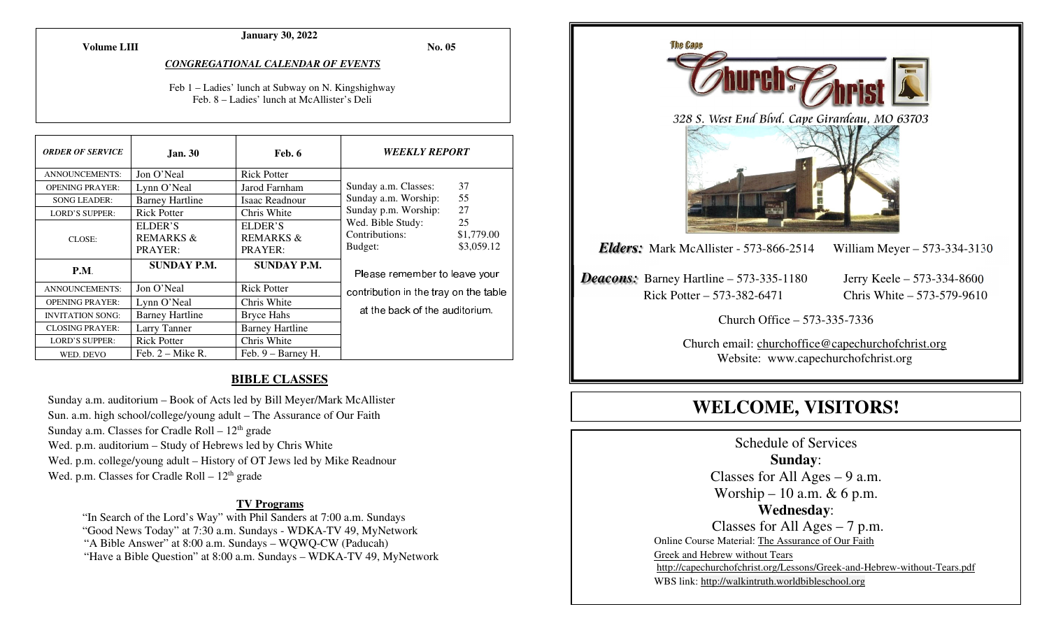**Volume LIII**

# **January 30, 2022**

**No. 05** 

#### *CONGREGATIONAL CALENDAR OF EVENTS*

Feb 1 – Ladies' lunch at Subway on N. Kingshighway Feb. 8 – Ladies' lunch at McAllister's Deli

| <b>ORDER OF SERVICE</b> | <b>Jan. 30</b>         | Feb. 6                 | <b>WEEKLY REPORT</b>                                                                |            |
|-------------------------|------------------------|------------------------|-------------------------------------------------------------------------------------|------------|
| <b>ANNOUNCEMENTS:</b>   | Jon O'Neal             | <b>Rick Potter</b>     |                                                                                     |            |
| <b>OPENING PRAYER:</b>  | Lynn O'Neal            | Jarod Farnham          | Sunday a.m. Classes:                                                                | 37         |
| <b>SONG LEADER:</b>     | <b>Barney Hartline</b> | Isaac Readnour         | 55<br>Sunday a.m. Worship:<br>27<br>Sunday p.m. Worship:<br>25<br>Wed. Bible Study: |            |
| <b>LORD'S SUPPER:</b>   | <b>Rick Potter</b>     | Chris White            |                                                                                     |            |
| CLOSE:                  | ELDER'S                | ELDER'S                |                                                                                     |            |
|                         | <b>REMARKS &amp;</b>   | <b>REMARKS &amp;</b>   | Contributions:                                                                      | \$1,779.00 |
|                         | PRAYER:                | PRAYER:                | Budget:                                                                             | \$3,059.12 |
| P.M.                    | <b>SUNDAY P.M.</b>     | <b>SUNDAY P.M.</b>     | Please remember to leave your<br>contribution in the tray on the table              |            |
| <b>ANNOUNCEMENTS:</b>   | Jon O'Neal             | <b>Rick Potter</b>     |                                                                                     |            |
| <b>OPENING PRAYER:</b>  | Lynn O'Neal            | Chris White            |                                                                                     |            |
| <b>INVITATION SONG:</b> | <b>Barney Hartline</b> | <b>Bryce Hahs</b>      | at the back of the auditorium.                                                      |            |
| <b>CLOSING PRAYER:</b>  | Larry Tanner           | <b>Barney Hartline</b> |                                                                                     |            |
| <b>LORD'S SUPPER:</b>   | <b>Rick Potter</b>     | Chris White            |                                                                                     |            |
| WED. DEVO               | Feb. $2 -$ Mike R.     | Feb. 9 – Barney H.     |                                                                                     |            |

### **BIBLE CLASSES**

Sunday a.m. auditorium – Book of Acts led by Bill Meyer/Mark McAllister Sun. a.m. high school/college/young adult – The Assurance of Our Faith Sunday a.m. Classes for Cradle Roll  $-12<sup>th</sup>$  grade Wed. p.m. auditorium – Study of Hebrews led by Chris White Wed. p.m. college/young adult – History of OT Jews led by Mike Readnour Wed. p.m. Classes for Cradle Roll  $-12<sup>th</sup>$  grade

#### **TV Programs**

 "In Search of the Lord's Way" with Phil Sanders at 7:00 a.m. Sundays "Good News Today" at 7:30 a.m. Sundays - WDKA-TV 49, MyNetwork "A Bible Answer" at 8:00 a.m. Sundays – WQWQ-CW (Paducah) "Have a Bible Question" at 8:00 a.m. Sundays – WDKA-TV 49, MyNetwork



# **WELCOME, VISITORS!**

Schedule of Services **Sunday**: Classes for All Ages  $-9$  a.m. Worship – 10 a.m.  $& 6$  p.m. **Wednesday**: Classes for All Ages – 7 p.m. Online Course Material: The Assurance of Our Faith Greek and Hebrew without Tears http://capechurchofchrist.org/Lessons/Greek-and-Hebrew-without-Tears.pdfWBS link: http://walkintruth.worldbibleschool.org